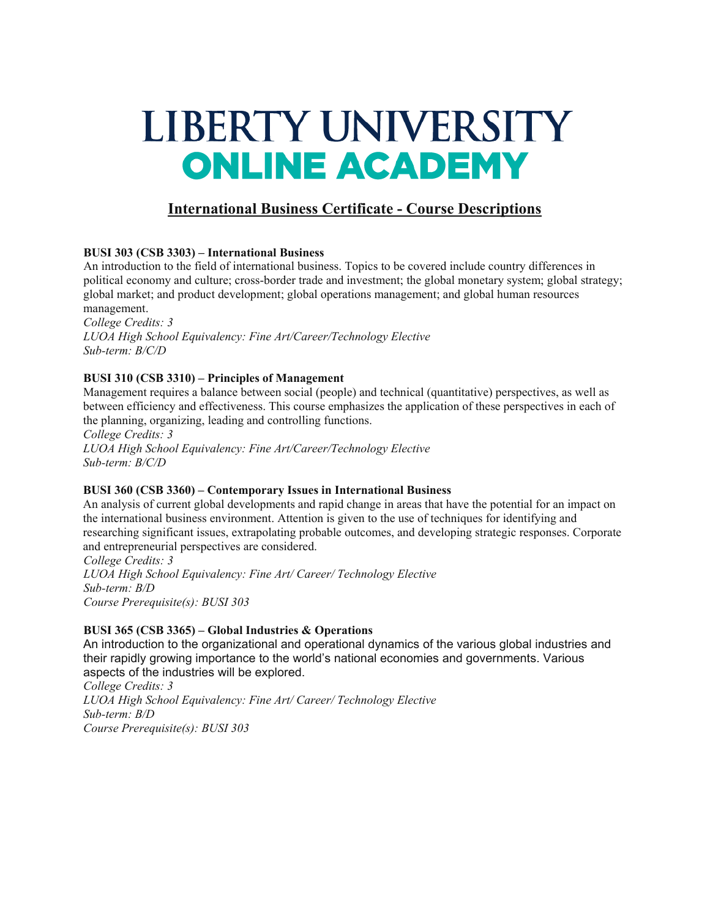# LIBERTY UNIVERSITY **ONLINE ACADEMY**

# **International Business Certificate - Course Descriptions**

## **BUSI 303 (CSB 3303) – International Business**

An introduction to the field of international business. Topics to be covered include country differences in political economy and culture; cross-border trade and investment; the global monetary system; global strategy; global market; and product development; global operations management; and global human resources management.

*College Credits: 3 LUOA High School Equivalency: Fine Art/Career/Technology Elective Sub-term: B/C/D*

## **BUSI 310 (CSB 3310) – Principles of Management**

Management requires a balance between social (people) and technical (quantitative) perspectives, as well as between efficiency and effectiveness. This course emphasizes the application of these perspectives in each of the planning, organizing, leading and controlling functions.

*College Credits: 3 LUOA High School Equivalency: Fine Art/Career/Technology Elective Sub-term: B/C/D*

#### **BUSI 360 (CSB 3360) – Contemporary Issues in International Business**

An analysis of current global developments and rapid change in areas that have the potential for an impact on the international business environment. Attention is given to the use of techniques for identifying and researching significant issues, extrapolating probable outcomes, and developing strategic responses. Corporate and entrepreneurial perspectives are considered.

*College Credits: 3 LUOA High School Equivalency: Fine Art/ Career/ Technology Elective Sub-term: B/D Course Prerequisite(s): BUSI 303*

#### **BUSI 365 (CSB 3365) – Global Industries & Operations**

An introduction to the organizational and operational dynamics of the various global industries and their rapidly growing importance to the world's national economies and governments. Various aspects of the industries will be explored.

*College Credits: 3 LUOA High School Equivalency: Fine Art/ Career/ Technology Elective Sub-term: B/D Course Prerequisite(s): BUSI 303*